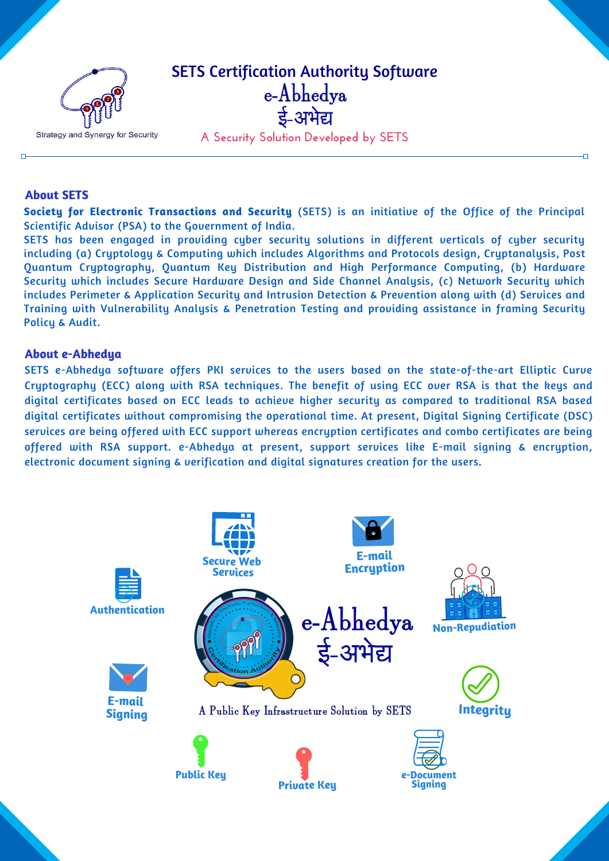

# **About SETS**

**Society for Electronic Transactions and Security** (SETS) is an initiative of the Office of the Principal Scientific Advisor (PSA) to the Government of India.

SETS has been engaged in providing cyber security solutions in different verticals of cyber security including (a) Cryptology & Computing which includes Algorithms and Protocols design, Cryptanalysis, Post Quantum Cryptography, Quantum Key Distribution and High Performance Computing, (b) Hardware Security which includes Secure Hardware Design and Side Channel Analysis, (c) Network Security which includes Perimeter & Application Security and Intrusion Detection & Prevention along with (d) Services and Training with Vulnerability Analysis & Penetration Testing and providing assistance in framing Security Policy & Audit.

## **About e-Abhedya**

SETS e-Abhedya software offers PKI services to the users based on the state-of-the-art Elliptic Curve Cryptography (ECC) along with RSA techniques. The benefit of using ECC over RSA is that the keys and digital certificates based on ECC leads to achieve higher security as compared to traditional RSA based digital certificates without compromising the operational time. At present, Digital Signing Certificate (DSC) services are being offered with ECC support whereas encryption certificates and combo certificates are being offered with RSA support. e-Abhedya at present, support services like E-mail signing & encryption, electronic document signing & verification and digital signatures creation for the users.